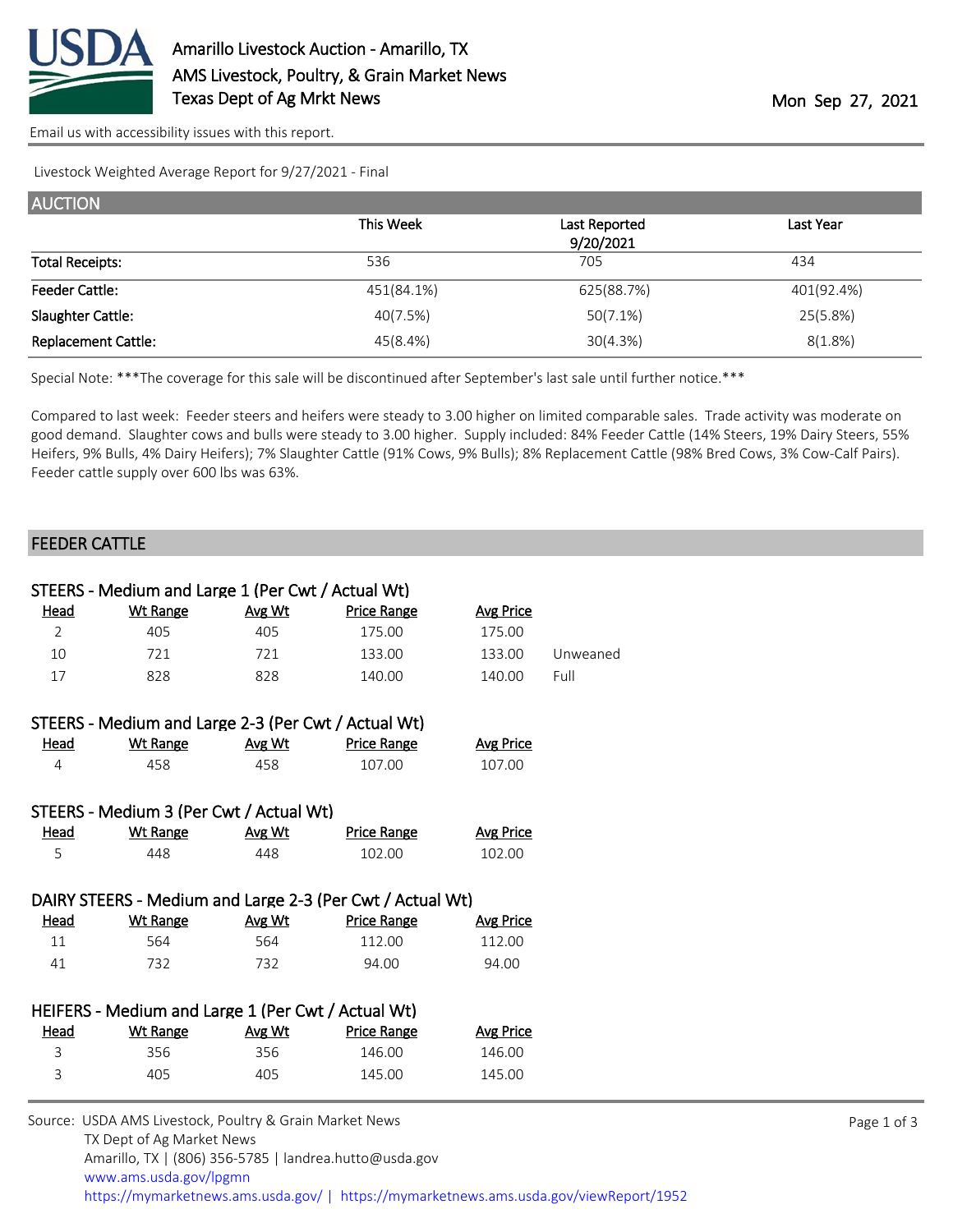

[Email us with accessibility issues with this report.](mailto:mars@ams.usda.gov?subject=508%20issue)

Livestock Weighted Average Report for 9/27/2021 - Final

| <b>AUCTION</b>             |            |               |            |  |  |  |
|----------------------------|------------|---------------|------------|--|--|--|
|                            | This Week  | Last Reported | Last Year  |  |  |  |
|                            |            | 9/20/2021     |            |  |  |  |
| <b>Total Receipts:</b>     | 536        | 705           | 434        |  |  |  |
| <b>Feeder Cattle:</b>      | 451(84.1%) | 625(88.7%)    | 401(92.4%) |  |  |  |
| Slaughter Cattle:          | 40(7.5%)   | 50(7.1%)      | 25(5.8%)   |  |  |  |
| <b>Replacement Cattle:</b> | 45(8.4%)   | 30(4.3%)      | 8(1.8%)    |  |  |  |

Special Note: \*\*\*The coverage for this sale will be discontinued after September's last sale until further notice.\*\*\*

Compared to last week: Feeder steers and heifers were steady to 3.00 higher on limited comparable sales. Trade activity was moderate on good demand. Slaughter cows and bulls were steady to 3.00 higher. Supply included: 84% Feeder Cattle (14% Steers, 19% Dairy Steers, 55% Heifers, 9% Bulls, 4% Dairy Heifers); 7% Slaughter Cattle (91% Cows, 9% Bulls); 8% Replacement Cattle (98% Bred Cows, 3% Cow-Calf Pairs). Feeder cattle supply over 600 lbs was 63%.

## FEEDER CATTLE

| STEERS - Medium and Large 1 (Per Cwt / Actual Wt)  |                                                     |        |                                                           |                  |          |  |  |
|----------------------------------------------------|-----------------------------------------------------|--------|-----------------------------------------------------------|------------------|----------|--|--|
| Head                                               | <b>Wt Range</b>                                     | Avg Wt | <b>Price Range</b>                                        | <b>Avg Price</b> |          |  |  |
| $\overline{2}$                                     | 405                                                 | 405    | 175.00                                                    | 175.00           |          |  |  |
| 10                                                 | 721                                                 | 721    | 133.00                                                    | 133.00           | Unweaned |  |  |
| 17                                                 | 828                                                 | 828    | 140.00                                                    | 140.00           | Full     |  |  |
|                                                    |                                                     |        |                                                           |                  |          |  |  |
|                                                    | STEERS - Medium and Large 2-3 (Per Cwt / Actual Wt) |        |                                                           |                  |          |  |  |
| <u>Head</u>                                        | <b>Wt Range</b>                                     | Avg Wt | <b>Price Range</b>                                        | <b>Avg Price</b> |          |  |  |
| 4                                                  | 458                                                 | 458    | 107.00                                                    | 107.00           |          |  |  |
|                                                    |                                                     |        |                                                           |                  |          |  |  |
|                                                    | STEERS - Medium 3 (Per Cwt / Actual Wt)             |        |                                                           |                  |          |  |  |
| <u>Head</u>                                        | <b>Wt Range</b>                                     | Avg Wt | <b>Price Range</b>                                        | <b>Avg Price</b> |          |  |  |
| 5                                                  | 448                                                 | 448    | 102.00                                                    | 102.00           |          |  |  |
|                                                    |                                                     |        |                                                           |                  |          |  |  |
|                                                    |                                                     |        | DAIRY STEERS - Medium and Large 2-3 (Per Cwt / Actual Wt) |                  |          |  |  |
| <u>Head</u>                                        | <b>Wt Range</b>                                     | Avg Wt | <b>Price Range</b>                                        | <b>Avg Price</b> |          |  |  |
| 11                                                 | 564                                                 | 564    | 112.00                                                    | 112.00           |          |  |  |
| 41                                                 | 732                                                 | 732    | 94.00                                                     | 94.00            |          |  |  |
|                                                    |                                                     |        |                                                           |                  |          |  |  |
| HEIFERS - Medium and Large 1 (Per Cwt / Actual Wt) |                                                     |        |                                                           |                  |          |  |  |
| <u>Head</u>                                        | <b>Wt Range</b>                                     | Avg Wt | <b>Price Range</b>                                        | <b>Avg Price</b> |          |  |  |
| 3                                                  | 356                                                 | 356    | 146.00                                                    | 146.00           |          |  |  |
| 3                                                  | 405                                                 | 405    | 145.00                                                    | 145.00           |          |  |  |
|                                                    |                                                     |        |                                                           |                  |          |  |  |

| Source: USDA AMS Livestock, Poultry & Grain Market News                                |
|----------------------------------------------------------------------------------------|
| TX Dept of Ag Market News                                                              |
| Amarillo, TX   (806) 356-5785   landrea.hutto@usda.gov                                 |
| www.ams.usda.gov/lpgmn                                                                 |
| https://mymarketnews.ams.usda.gov/   https://mymarketnews.ams.usda.gov/viewReport/1952 |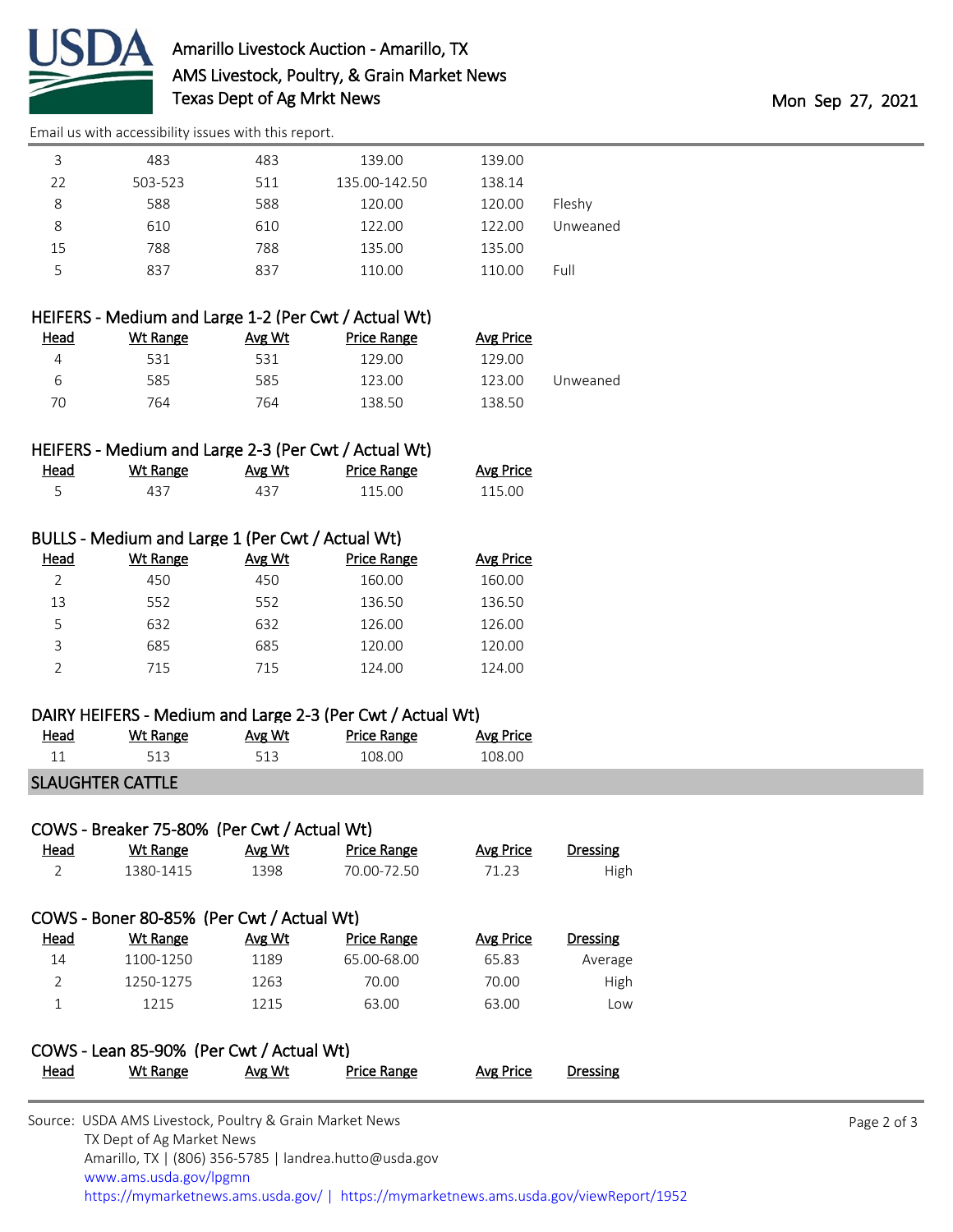

[Email us with accessibility issues with this report.](mailto:mars@ams.usda.gov?subject=508%20issue)

| 3  | 483     | 483 | 139.00        | 139.00 |          |
|----|---------|-----|---------------|--------|----------|
| 22 | 503-523 | 511 | 135.00-142.50 | 138.14 |          |
| 8  | 588     | 588 | 120.00        | 120.00 | Fleshy   |
| 8  | 610     | 610 | 122.00        | 122.00 | Unweaned |
| 15 | 788     | 788 | 135.00        | 135.00 |          |
| 5  | 837     | 837 | 110.00        | 110.00 | Full     |
|    |         |     |               |        |          |

## HEIFERS - Medium and Large 1-2 (Per Cwt / Actual Wt)

| Head | Wt Range | Avg Wt | Price Range | Avg Price |          |
|------|----------|--------|-------------|-----------|----------|
|      | 531      | 531    | 129.00      | 129.00    |          |
| ь    | 585      | 585    | 123.00      | 123.00    | Unweaned |
| 70   | 764      | 764    | 138.50      | 138.50    |          |

## HEIFERS - Medium and Large 2-3 (Per Cwt / Actual Wt)

| Head | <u>Wt Range</u> | <u>Avg Wt</u> | Price Range | <b>Avg Price</b> |
|------|-----------------|---------------|-------------|------------------|
|      | 437             | 437           | 115.00      | 115.00           |

#### BULLS - Medium and Large 1 (Per Cwt / Actual Wt)

| Head | Wt Range | Avg Wt | <b>Price Range</b> | Avg Price |
|------|----------|--------|--------------------|-----------|
|      | 450      | 450    | 160.00             | 160.00    |
| 13   | 552      | 552    | 136.50             | 136.50    |
| 5    | 632      | 632    | 126.00             | 126.00    |
| 3    | 685      | 685    | 120.00             | 120.00    |
|      | 715      | 715    | 124.00             | 124.00    |

## DAIRY HEIFERS - Medium and Large 2-3 (Per Cwt / Actual Wt)

| <u>Head</u> | Wt Range | Avg Wt | Price Range | <b>Avg Price</b> |
|-------------|----------|--------|-------------|------------------|
|             |          |        | 108.00      | 108.00           |

## SLAUGHTER CATTLE

| COWS - Breaker 75-80% (Per Cwt / Actual Wt) |           |        |             |           |          |
|---------------------------------------------|-----------|--------|-------------|-----------|----------|
| <u>Head</u>                                 | Wt Range  | Avg Wt | Price Range | Avg Price | Dressing |
|                                             | 1380-1415 | 1398   | 70.00-72.50 | 71.23     | High     |

# COWS - Boner 80-85% (Per Cwt / Actual Wt)

| Dressing | Avg Price | <b>Price Range</b> | Avg Wt | Wt Range  | <u>Head</u> |
|----------|-----------|--------------------|--------|-----------|-------------|
| Average  | 65.83     | 65.00-68.00        | 1189   | 1100-1250 | 14          |
| High     | 70.00     | 70.00              | 1263   | 1250-1275 |             |
| Low      | 63.00     | 63.00              | 1215   | 1215      |             |
|          |           |                    |        |           |             |

#### COWS - Lean 85-90% (Per Cwt / Actual Wt) Head Wt Range Avg Wt Price Range Avg Price Dressing